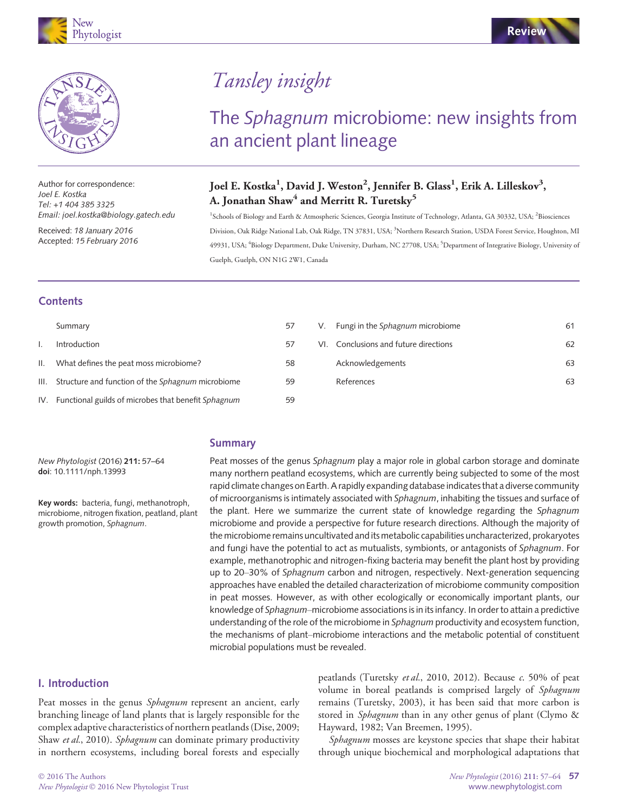

Author for correspondence: Joel E. Kostka Tel: +1 404 385 3325 Email: joel.kostka@biology.gatech.edu

Received: 18 January 2016 Accepted: 15 February 2016

# Tansley insight

## The Sphagnum microbiome: new insights from an ancient plant lineage

### Joel E. Kostka<sup>1</sup>, David J. Weston<sup>2</sup>, Jennifer B. Glass<sup>1</sup>, Erik A. Lilleskov<sup>3</sup>, A. Jonathan Shaw<sup>4</sup> and Merritt R. Turetsky<sup>5</sup>

<sup>1</sup>Schools of Biology and Earth & Atmospheric Sciences, Georgia Institute of Technology, Atlanta, GA 30332, USA; <sup>2</sup>Biosciences Division, Oak Ridge National Lab, Oak Ridge, TN 37831, USA; <sup>3</sup>Northern Research Station, USDA Forest Service, Houghton, MI 49931, USA; <sup>4</sup>Biology Department, Duke University, Durham, NC 27708, USA; <sup>5</sup>Department of Integrative Biology, University of Guelph, Guelph, ON N1G 2W1, Canada

#### **Contents**

|                 | Summary                                                 | 57 | V. | Fungi in the Sphagnum microbiome      | 61 |
|-----------------|---------------------------------------------------------|----|----|---------------------------------------|----|
|                 | Introduction                                            | 57 |    | VI. Conclusions and future directions | 62 |
| $\mathbf{II}$ . | What defines the peat moss microbiome?                  | 58 |    | Acknowledgements                      | 63 |
|                 | III. Structure and function of the Sphagnum microbiome  | 59 |    | References                            | 63 |
|                 | IV. Functional guilds of microbes that benefit Sphagnum | 59 |    |                                       |    |

#### Summary

New Phytologist (2016) 211: 57–64 doi: 10.1111/nph.13993

Key words: bacteria, fungi, methanotroph, microbiome, nitrogen fixation, peatland, plant growth promotion, Sphagnum.

Peat mosses of the genus Sphagnum play a major role in global carbon storage and dominate many northern peatland ecosystems, which are currently being subjected to some of the most rapid climate changes on Earth. A rapidly expanding database indicates that a diverse community of microorganisms is intimately associated with Sphagnum, inhabiting the tissues and surface of the plant. Here we summarize the current state of knowledge regarding the Sphagnum microbiome and provide a perspective for future research directions. Although the majority of the microbiome remains uncultivated and its metabolic capabilities uncharacterized, prokaryotes and fungi have the potential to act as mutualists, symbionts, or antagonists of Sphagnum. For example, methanotrophic and nitrogen-fixing bacteria may benefit the plant host by providing up to 20–30% of Sphagnum carbon and nitrogen, respectively. Next-generation sequencing approaches have enabled the detailed characterization of microbiome community composition in peat mosses. However, as with other ecologically or economically important plants, our knowledge of Sphagnum–microbiome associations is in its infancy. In order to attain a predictive understanding of the role of the microbiome in Sphagnum productivity and ecosystem function, the mechanisms of plant–microbiome interactions and the metabolic potential of constituent microbial populations must be revealed.

#### I. Introduction

Peat mosses in the genus Sphagnum represent an ancient, early branching lineage of land plants that is largely responsible for the complex adaptive characteristics of northern peatlands (Dise, 2009; Shaw et al., 2010). Sphagnum can dominate primary productivity in northern ecosystems, including boreal forests and especially

peatlands (Turetsky et al., 2010, 2012). Because  $c$ . 50% of peat volume in boreal peatlands is comprised largely of Sphagnum remains (Turetsky, 2003), it has been said that more carbon is stored in Sphagnum than in any other genus of plant (Clymo & Hayward, 1982; Van Breemen, 1995).

Sphagnum mosses are keystone species that shape their habitat through unique biochemical and morphological adaptations that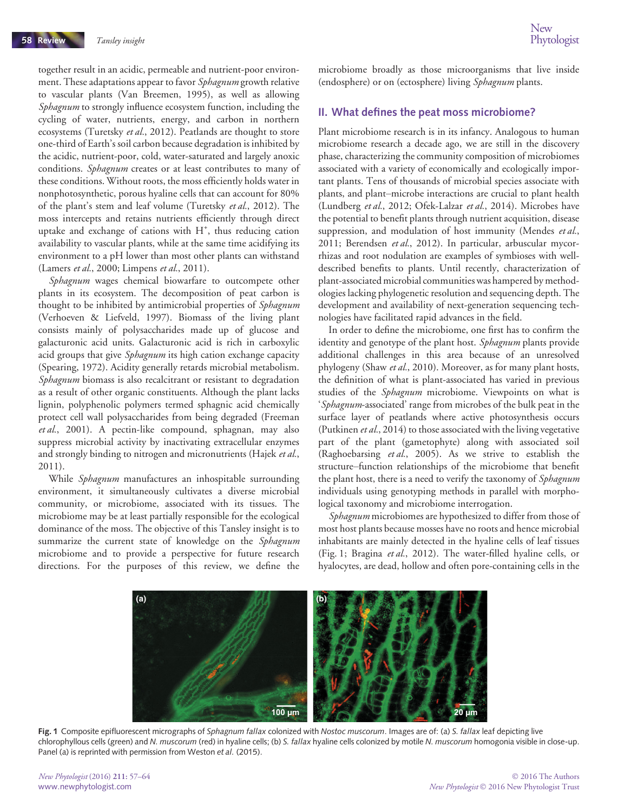together result in an acidic, permeable and nutrient-poor environment. These adaptations appear to favor Sphagnum growth relative to vascular plants (Van Breemen, 1995), as well as allowing Sphagnum to strongly influence ecosystem function, including the cycling of water, nutrients, energy, and carbon in northern ecosystems (Turetsky et al., 2012). Peatlands are thought to store one-third of Earth's soil carbon because degradation is inhibited by the acidic, nutrient-poor, cold, water-saturated and largely anoxic conditions. Sphagnum creates or at least contributes to many of these conditions. Without roots, the moss efficiently holds water in nonphotosynthetic, porous hyaline cells that can account for 80% of the plant's stem and leaf volume (Turetsky et al., 2012). The moss intercepts and retains nutrients efficiently through direct uptake and exchange of cations with H<sup>+</sup>, thus reducing cation availability to vascular plants, while at the same time acidifying its environment to a pH lower than most other plants can withstand (Lamers et al., 2000; Limpens et al., 2011).

Sphagnum wages chemical biowarfare to outcompete other plants in its ecosystem. The decomposition of peat carbon is thought to be inhibited by antimicrobial properties of *Sphagnum* (Verhoeven & Liefveld, 1997). Biomass of the living plant consists mainly of polysaccharides made up of glucose and galacturonic acid units. Galacturonic acid is rich in carboxylic acid groups that give Sphagnum its high cation exchange capacity (Spearing, 1972). Acidity generally retards microbial metabolism. Sphagnum biomass is also recalcitrant or resistant to degradation as a result of other organic constituents. Although the plant lacks lignin, polyphenolic polymers termed sphagnic acid chemically protect cell wall polysaccharides from being degraded (Freeman et al., 2001). A pectin-like compound, sphagnan, may also suppress microbial activity by inactivating extracellular enzymes and strongly binding to nitrogen and micronutrients (Hajek et al., 2011).

While Sphagnum manufactures an inhospitable surrounding environment, it simultaneously cultivates a diverse microbial community, or microbiome, associated with its tissues. The microbiome may be at least partially responsible for the ecological dominance of the moss. The objective of this Tansley insight is to summarize the current state of knowledge on the Sphagnum microbiome and to provide a perspective for future research directions. For the purposes of this review, we define the microbiome broadly as those microorganisms that live inside (endosphere) or on (ectosphere) living Sphagnum plants.

#### II. What defines the peat moss microbiome?

Plant microbiome research is in its infancy. Analogous to human microbiome research a decade ago, we are still in the discovery phase, characterizing the community composition of microbiomes associated with a variety of economically and ecologically important plants. Tens of thousands of microbial species associate with plants, and plant–microbe interactions are crucial to plant health (Lundberg et al., 2012; Ofek-Lalzar et al., 2014). Microbes have the potential to benefit plants through nutrient acquisition, disease suppression, and modulation of host immunity (Mendes et al., 2011; Berendsen et al., 2012). In particular, arbuscular mycorrhizas and root nodulation are examples of symbioses with welldescribed benefits to plants. Until recently, characterization of plant-associated microbial communities was hampered by methodologies lacking phylogenetic resolution and sequencing depth. The development and availability of next-generation sequencing technologies have facilitated rapid advances in the field.

In order to define the microbiome, one first has to confirm the identity and genotype of the plant host. Sphagnum plants provide additional challenges in this area because of an unresolved phylogeny (Shaw et al., 2010). Moreover, as for many plant hosts, the definition of what is plant-associated has varied in previous studies of the *Sphagnum* microbiome. Viewpoints on what is 'Sphagnum-associated' range from microbes of the bulk peat in the surface layer of peatlands where active photosynthesis occurs (Putkinen et al., 2014) to those associated with the living vegetative part of the plant (gametophyte) along with associated soil (Raghoebarsing et al., 2005). As we strive to establish the structure–function relationships of the microbiome that benefit the plant host, there is a need to verify the taxonomy of Sphagnum individuals using genotyping methods in parallel with morphological taxonomy and microbiome interrogation.

Sphagnum microbiomes are hypothesized to differ from those of most host plants because mosses have no roots and hence microbial inhabitants are mainly detected in the hyaline cells of leaf tissues (Fig. 1; Bragina et al., 2012). The water-filled hyaline cells, or hyalocytes, are dead, hollow and often pore-containing cells in the



Fig. 1 Composite epifluorescent micrographs of Sphagnum fallax colonized with Nostoc muscorum. Images are of: (a) S. fallax leaf depicting live chlorophyllous cells (green) and N. muscorum (red) in hyaline cells; (b) S. fallax hyaline cells colonized by motile N. muscorum homogonia visible in close-up. Panel (a) is reprinted with permission from Weston et al. (2015).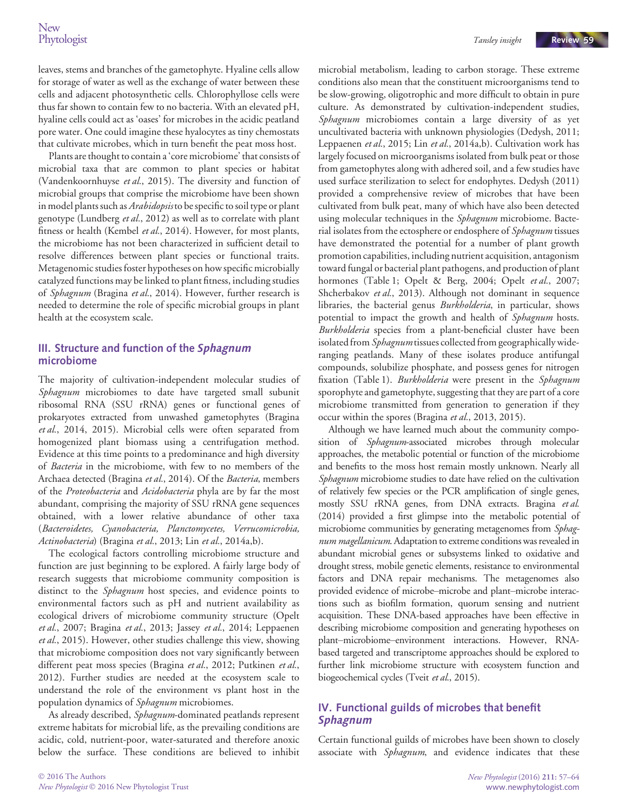leaves, stems and branches of the gametophyte. Hyaline cells allow for storage of water as well as the exchange of water between these cells and adjacent photosynthetic cells. Chlorophyllose cells were thus far shown to contain few to no bacteria. With an elevated pH, hyaline cells could act as 'oases' for microbes in the acidic peatland pore water. One could imagine these hyalocytes as tiny chemostats that cultivate microbes, which in turn benefit the peat moss host.

Plants are thought to contain a 'core microbiome' that consists of microbial taxa that are common to plant species or habitat (Vandenkoornhuyse et al., 2015). The diversity and function of microbial groups that comprise the microbiome have been shown in model plants such as Arabidopsis to be specific to soil type or plant genotype (Lundberg et al., 2012) as well as to correlate with plant fitness or health (Kembel et al., 2014). However, for most plants, the microbiome has not been characterized in sufficient detail to resolve differences between plant species or functional traits. Metagenomic studies foster hypotheses on how specific microbially catalyzed functions may be linked to plant fitness, including studies of Sphagnum (Bragina et al., 2014). However, further research is needed to determine the role of specific microbial groups in plant health at the ecosystem scale.

#### III. Structure and function of the Sphagnum microbiome

The majority of cultivation-independent molecular studies of Sphagnum microbiomes to date have targeted small subunit ribosomal RNA (SSU rRNA) genes or functional genes of prokaryotes extracted from unwashed gametophytes (Bragina et al., 2014, 2015). Microbial cells were often separated from homogenized plant biomass using a centrifugation method. Evidence at this time points to a predominance and high diversity of Bacteria in the microbiome, with few to no members of the Archaea detected (Bragina et al., 2014). Of the Bacteria, members of the Proteobacteria and Acidobacteria phyla are by far the most abundant, comprising the majority of SSU rRNA gene sequences obtained, with a lower relative abundance of other taxa (Bacteroidetes, Cyanobacteria, Planctomycetes, Verrucomicrobia, Actinobacteria) (Bragina et al., 2013; Lin et al., 2014a,b).

The ecological factors controlling microbiome structure and function are just beginning to be explored. A fairly large body of research suggests that microbiome community composition is distinct to the *Sphagnum* host species, and evidence points to environmental factors such as pH and nutrient availability as ecological drivers of microbiome community structure (Opelt et al., 2007; Bragina et al., 2013; Jassey et al., 2014; Leppaenen et al., 2015). However, other studies challenge this view, showing that microbiome composition does not vary significantly between different peat moss species (Bragina et al., 2012; Putkinen et al., 2012). Further studies are needed at the ecosystem scale to understand the role of the environment vs plant host in the population dynamics of Sphagnum microbiomes.

As already described, Sphagnum-dominated peatlands represent extreme habitats for microbial life, as the prevailing conditions are acidic, cold, nutrient-poor, water-saturated and therefore anoxic below the surface. These conditions are believed to inhibit microbial metabolism, leading to carbon storage. These extreme conditions also mean that the constituent microorganisms tend to be slow-growing, oligotrophic and more difficult to obtain in pure culture. As demonstrated by cultivation-independent studies, Sphagnum microbiomes contain a large diversity of as yet uncultivated bacteria with unknown physiologies (Dedysh, 2011; Leppaenen et al., 2015; Lin et al., 2014a,b). Cultivation work has largely focused on microorganisms isolated from bulk peat or those from gametophytes along with adhered soil, and a few studies have used surface sterilization to select for endophytes. Dedysh (2011) provided a comprehensive review of microbes that have been cultivated from bulk peat, many of which have also been detected using molecular techniques in the Sphagnum microbiome. Bacterial isolates from the ectosphere or endosphere of Sphagnum tissues have demonstrated the potential for a number of plant growth promotion capabilities, including nutrient acquisition, antagonism toward fungal or bacterial plant pathogens, and production of plant hormones (Table 1; Opelt & Berg, 2004; Opelt et al., 2007; Shcherbakov et al., 2013). Although not dominant in sequence libraries, the bacterial genus Burkholderia, in particular, shows potential to impact the growth and health of Sphagnum hosts. Burkholderia species from a plant-beneficial cluster have been isolated from Sphagnum tissues collected from geographically wideranging peatlands. Many of these isolates produce antifungal compounds, solubilize phosphate, and possess genes for nitrogen fixation (Table 1). Burkholderia were present in the Sphagnum sporophyte and gametophyte, suggesting that they are part of a core microbiome transmitted from generation to generation if they occur within the spores (Bragina et al., 2013, 2015).

Although we have learned much about the community composition of Sphagnum-associated microbes through molecular approaches, the metabolic potential or function of the microbiome and benefits to the moss host remain mostly unknown. Nearly all Sphagnum microbiome studies to date have relied on the cultivation of relatively few species or the PCR amplification of single genes, mostly SSU rRNA genes, from DNA extracts. Bragina et al. (2014) provided a first glimpse into the metabolic potential of microbiome communities by generating metagenomes from Sphagnum magellanicum. Adaptation to extreme conditions was revealed in abundant microbial genes or subsystems linked to oxidative and drought stress, mobile genetic elements, resistance to environmental factors and DNA repair mechanisms. The metagenomes also provided evidence of microbe–microbe and plant–microbe interactions such as biofilm formation, quorum sensing and nutrient acquisition. These DNA-based approaches have been effective in describing microbiome composition and generating hypotheses on plant–microbiome–environment interactions. However, RNAbased targeted and transcriptome approaches should be explored to further link microbiome structure with ecosystem function and biogeochemical cycles (Tveit et al., 2015).

## IV. Functional guilds of microbes that benefit  $\mathbf{S}$

Certain functional guilds of microbes have been shown to closely associate with Sphagnum, and evidence indicates that these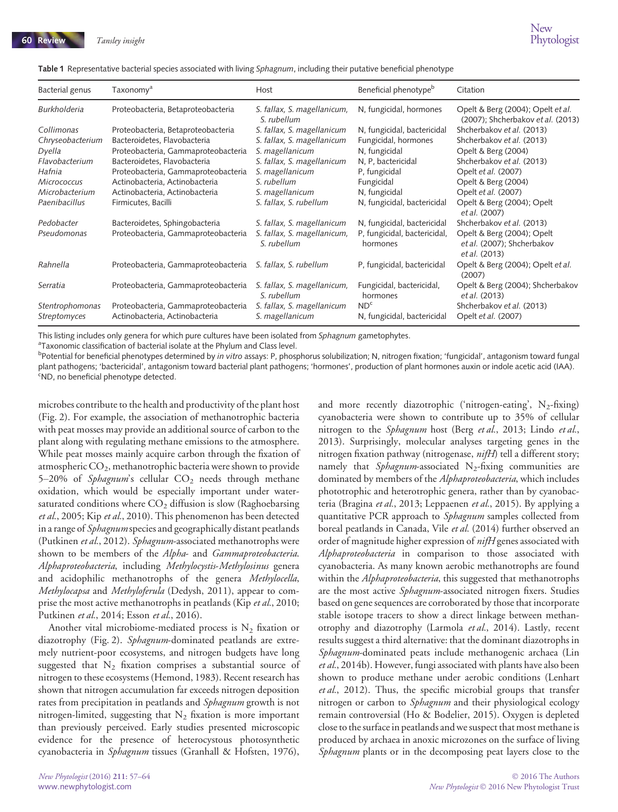|  |  |  |  | <b>Table 1</b> Representative bacterial species associated with living S <i>phagnum</i> , including their putative beneficial phenotype |  |
|--|--|--|--|-----------------------------------------------------------------------------------------------------------------------------------------|--|
|--|--|--|--|-----------------------------------------------------------------------------------------------------------------------------------------|--|

| Bacterial genus     | Taxonomy <sup>a</sup>               | Host                                       | Beneficial phenotype <sup>b</sup>        | Citation                                                                  |
|---------------------|-------------------------------------|--------------------------------------------|------------------------------------------|---------------------------------------------------------------------------|
| <b>Burkholderia</b> | Proteobacteria, Betaproteobacteria  | S. fallax, S. magellanicum,<br>S. rubellum | N, fungicidal, hormones                  | Opelt & Berg (2004); Opelt et al.<br>(2007); Shcherbakov et al. (2013)    |
| Collimonas          | Proteobacteria, Betaproteobacteria  | S. fallax, S. magellanicum                 | N, fungicidal, bactericidal              | Shcherbakov et al. (2013)                                                 |
| Chryseobacterium    | Bacteroidetes, Flavobacteria        | S. fallax, S. magellanicum                 | Fungicidal, hormones                     | Shcherbakov et al. (2013)                                                 |
| Dyella              | Proteobacteria, Gammaproteobacteria | S. magellanicum                            | N, fungicidal                            | Opelt & Berg (2004)                                                       |
| Flavobacterium      | Bacteroidetes, Flavobacteria        | S. fallax, S. magellanicum                 | N, P, bactericidal                       | Shcherbakov et al. (2013)                                                 |
| Hafnia              | Proteobacteria, Gammaproteobacteria | S. magellanicum                            | P, fungicidal                            | Opelt et al. (2007)                                                       |
| <b>Micrococcus</b>  | Actinobacteria, Actinobacteria      | S. rubellum                                | Fungicidal                               | Opelt & Berg (2004)                                                       |
| Microbacterium      | Actinobacteria, Actinobacteria      | S. magellanicum                            | N, fungicidal                            | Opelt et al. (2007)                                                       |
| Paenibacillus       | Firmicutes, Bacilli                 | S. fallax, S. rubellum                     | N, fungicidal, bactericidal              | Opelt & Berg (2004); Opelt<br>et al. (2007)                               |
| Pedobacter          | Bacteroidetes, Sphingobacteria      | S. fallax, S. magellanicum                 | N, fungicidal, bactericidal              | Shcherbakov et al. (2013)                                                 |
| Pseudomonas         | Proteobacteria, Gammaproteobacteria | S. fallax, S. magellanicum,<br>S. rubellum | P, fungicidal, bactericidal,<br>hormones | Opelt & Berg (2004); Opelt<br>et al. (2007); Shcherbakov<br>et al. (2013) |
| Rahnella            | Proteobacteria, Gammaproteobacteria | S. fallax, S. rubellum                     | P, fungicidal, bactericidal              | Opelt & Berg (2004); Opelt et al.<br>(2007)                               |
| Serratia            | Proteobacteria, Gammaproteobacteria | S. fallax, S. magellanicum,<br>S. rubellum | Fungicidal, bactericidal,<br>hormones    | Opelt & Berg (2004); Shcherbakov<br>et al. (2013)                         |
| Stentrophomonas     | Proteobacteria, Gammaproteobacteria | S. fallax, S. magellanicum                 | ND <sup>c</sup>                          | Shcherbakov et al. (2013)                                                 |
| Streptomyces        | Actinobacteria, Actinobacteria      | S. magellanicum                            | N, fungicidal, bactericidal              | Opelt et al. (2007)                                                       |

This listing includes only genera for which pure cultures have been isolated from Sphagnum gametophytes.

<sup>a</sup>Taxonomic classification of bacterial isolate at the Phylum and Class level.

<sup>b</sup>Potential for beneficial phenotypes determined by *in vitro* assays: P, phosphorus solubilization; N, nitrogen fixation; 'fungicidal', antagonism toward fungal plant pathogens; 'bactericidal', antagonism toward bacterial plant pathogens; 'hormones', production of plant hormones auxin or indole acetic acid (IAA). <sup>c</sup>ND, no beneficial phenotype detected.

microbes contribute to the health and productivity of the plant host (Fig. 2). For example, the association of methanotrophic bacteria with peat mosses may provide an additional source of carbon to the plant along with regulating methane emissions to the atmosphere. While peat mosses mainly acquire carbon through the fixation of atmospheric  $CO<sub>2</sub>$ , methanotrophic bacteria were shown to provide 5–20% of Sphagnum's cellular  $CO<sub>2</sub>$  needs through methane oxidation, which would be especially important under watersaturated conditions where  $CO<sub>2</sub>$  diffusion is slow (Raghoebarsing et al., 2005; Kip et al., 2010). This phenomenon has been detected in a range of *Sphagnum* species and geographically distant peatlands (Putkinen et al., 2012). Sphagnum-associated methanotrophs were shown to be members of the Alpha- and Gammaproteobacteria. Alphaproteobacteria, including Methylocystis-Methylosinus genera and acidophilic methanotrophs of the genera Methylocella, Methylocapsa and Methyloferula (Dedysh, 2011), appear to comprise the most active methanotrophs in peatlands (Kip et al., 2010; Putkinen et al., 2014; Esson et al., 2016).

Another vital microbiome-mediated process is  $N_2$  fixation or diazotrophy (Fig. 2). Sphagnum-dominated peatlands are extremely nutrient-poor ecosystems, and nitrogen budgets have long suggested that  $N_2$  fixation comprises a substantial source of nitrogen to these ecosystems (Hemond, 1983). Recent research has shown that nitrogen accumulation far exceeds nitrogen deposition rates from precipitation in peatlands and Sphagnum growth is not nitrogen-limited, suggesting that  $N_2$  fixation is more important than previously perceived. Early studies presented microscopic evidence for the presence of heterocystous photosynthetic cyanobacteria in Sphagnum tissues (Granhall & Hofsten, 1976),

and more recently diazotrophic ('nitrogen-eating',  $N_2$ -fixing) cyanobacteria were shown to contribute up to 35% of cellular nitrogen to the *Sphagnum* host (Berg et al., 2013; Lindo et al., 2013). Surprisingly, molecular analyses targeting genes in the nitrogen fixation pathway (nitrogenase, *nifH*) tell a different story; namely that Sphagnum-associated  $N_2$ -fixing communities are dominated by members of the *Alphaproteobacteria*, which includes phototrophic and heterotrophic genera, rather than by cyanobacteria (Bragina et al., 2013; Leppaenen et al., 2015). By applying a quantitative PCR approach to *Sphagnum* samples collected from boreal peatlands in Canada, Vile et al. (2014) further observed an order of magnitude higher expression of nifH genes associated with Alphaproteobacteria in comparison to those associated with cyanobacteria. As many known aerobic methanotrophs are found within the *Alphaproteobacteria*, this suggested that methanotrophs are the most active *Sphagnum*-associated nitrogen fixers. Studies based on gene sequences are corroborated by those that incorporate stable isotope tracers to show a direct linkage between methanotrophy and diazotrophy (Larmola et al., 2014). Lastly, recent results suggest a third alternative: that the dominant diazotrophs in Sphagnum-dominated peats include methanogenic archaea (Lin et al., 2014b). However, fungi associated with plants have also been shown to produce methane under aerobic conditions (Lenhart et al., 2012). Thus, the specific microbial groups that transfer nitrogen or carbon to Sphagnum and their physiological ecology remain controversial (Ho & Bodelier, 2015). Oxygen is depleted close to the surface in peatlands and we suspect that most methane is produced by archaea in anoxic microzones on the surface of living Sphagnum plants or in the decomposing peat layers close to the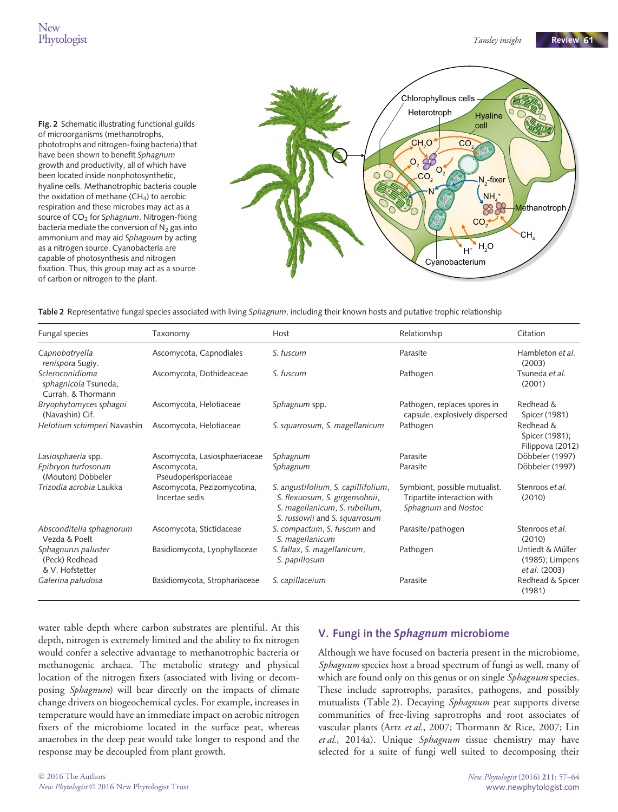Fig. 2 Schematic illustrating functional guilds of microorganisms (methanotrophs, phototrophs and nitrogen-fixing bacteria) that have been shown to benefit Sphagnum growth and productivity, all of which have been located inside nonphotosynthetic, hyaline cells. Methanotrophic bacteria couple the oxidation of methane  $(CH_4)$  to aerobic respiration and these microbes may act as a source of  $CO<sub>2</sub>$  for Sphagnum. Nitrogen-fixing bacteria mediate the conversion of  $N_2$  gas into ammonium and may aid Sphagnum by acting as a nitrogen source. Cyanobacteria are capable of photosynthesis and nitrogen fixation. Thus, this group may act as a source of carbon or nitrogen to the plant.



Table 2 Representative fungal species associated with living Sphagnum, including their known hosts and putative trophic relationship

| Fungal species                                                | Taxonomy                                      | Host                                                                                                                                    | Relationship                                                                        | Citation                                             |
|---------------------------------------------------------------|-----------------------------------------------|-----------------------------------------------------------------------------------------------------------------------------------------|-------------------------------------------------------------------------------------|------------------------------------------------------|
| Capnobotryella<br>renispora Sugiy.                            | Ascomycota, Capnodiales                       | S. fuscum                                                                                                                               | Parasite                                                                            | Hambleton et al.<br>(2003)                           |
| Scleroconidioma<br>sphagnicola Tsuneda,<br>Currah, & Thormann | Ascomycota, Dothideaceae                      | S. fuscum                                                                                                                               | Pathogen                                                                            | Tsuneda et al.<br>(2001)                             |
| Bryophytomyces sphagni<br>(Navashin) Cif.                     | Ascomycota, Helotiaceae                       | Sphagnum spp.                                                                                                                           | Pathogen, replaces spores in<br>capsule, explosively dispersed                      | Redhead &<br>Spicer (1981)                           |
| Helotium schimperi Navashin                                   | Ascomycota, Helotiaceae                       | S. squarrosum, S. magellanicum                                                                                                          | Pathogen                                                                            | Redhead &<br>Spicer (1981);<br>Filippova (2012)      |
| Lasiosphaeria spp.                                            | Ascomycota, Lasiosphaeriaceae                 | Sphagnum                                                                                                                                | Parasite                                                                            | Döbbeler (1997)                                      |
| Epibryon turfosorum<br>(Mouton) Döbbeler                      | Ascomycota,<br>Pseudoperisporiaceae           | Sphagnum                                                                                                                                | Parasite                                                                            | Döbbeler (1997)                                      |
| Trizodia acrobia Laukka                                       | Ascomycota, Pezizomycotina,<br>Incertae sedis | S. angustifolium, S. capillifolium,<br>S. flexuosum, S. girgensohnii,<br>S. magellanicum, S. rubellum,<br>S. russowii and S. squarrosum | Symbiont, possible mutualist.<br>Tripartite interaction with<br>Sphagnum and Nostoc | Stenroos et al.<br>(2010)                            |
| Absconditella sphagnorum<br>Vezda & Poelt                     | Ascomycota, Stictidaceae                      | S. compactum, S. fuscum and<br>S. magellanicum                                                                                          | Parasite/pathogen                                                                   | Stenroos et al.<br>(2010)                            |
| Sphagnurus paluster<br>(Peck) Redhead<br>& V. Hofstetter      | Basidiomycota, Lyophyllaceae                  | S. fallax, S. magellanicum,<br>S. papillosum                                                                                            | Pathogen                                                                            | Untiedt & Müller<br>(1985); Limpens<br>et al. (2003) |
| Galerina paludosa                                             | Basidiomycota, Strophariaceae                 | S. capillaceium                                                                                                                         | Parasite                                                                            | Redhead & Spicer<br>(1981)                           |

water table depth where carbon substrates are plentiful. At this depth, nitrogen is extremely limited and the ability to fix nitrogen would confer a selective advantage to methanotrophic bacteria or methanogenic archaea. The metabolic strategy and physical location of the nitrogen fixers (associated with living or decomposing *Sphagnum*) will bear directly on the impacts of climate change drivers on biogeochemical cycles. For example, increases in temperature would have an immediate impact on aerobic nitrogen fixers of the microbiome located in the surface peat, whereas anaerobes in the deep peat would take longer to respond and the response may be decoupled from plant growth.

#### V. Fungi in the Sphagnum microbiome

Although we have focused on bacteria present in the microbiome, Sphagnum species host a broad spectrum of fungi as well, many of which are found only on this genus or on single Sphagnum species. These include saprotrophs, parasites, pathogens, and possibly mutualists (Table 2). Decaying Sphagnum peat supports diverse communities of free-living saprotrophs and root associates of vascular plants (Artz et al., 2007; Thormann & Rice, 2007; Lin et al., 2014a). Unique Sphagnum tissue chemistry may have selected for a suite of fungi well suited to decomposing their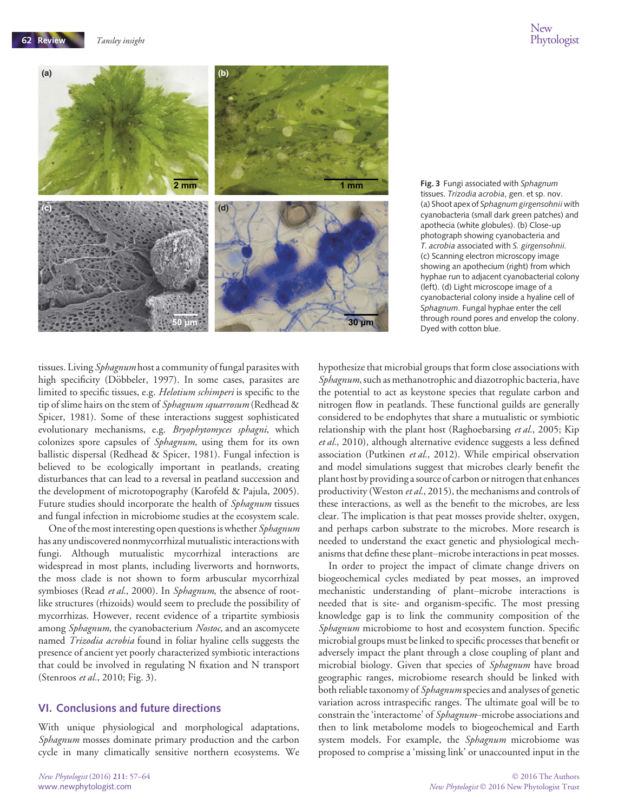**62 Review** Tansley insight



Fig. 3 Fungi associated with Sphagnum tissues. Trizodia acrobia, gen. et sp. nov. (a) Shoot apex of Sphagnum girgensohnii with cyanobacteria (small dark green patches) and apothecia (white globules). (b) Close-up photograph showing cyanobacteria and T. acrobia associated with S. girgensohnii. (c) Scanning electron microscopy image showing an apothecium (right) from which hyphae run to adjacent cyanobacterial colony (left). (d) Light microscope image of a cyanobacterial colony inside a hyaline cell of Sphagnum. Fungal hyphae enter the cell through round pores and envelop the colony. Dyed with cotton blue.

tissues. Living *Sphagnum* host a community of fungal parasites with high specificity (Döbbeler, 1997). In some cases, parasites are limited to specific tissues, e.g. Helotium schimperi is specific to the tip of slime hairs on the stem of Sphagnum squarrosum (Redhead & Spicer, 1981). Some of these interactions suggest sophisticated evolutionary mechanisms, e.g. Bryophytomyces sphagni, which colonizes spore capsules of Sphagnum, using them for its own ballistic dispersal (Redhead & Spicer, 1981). Fungal infection is believed to be ecologically important in peatlands, creating disturbances that can lead to a reversal in peatland succession and the development of microtopography (Karofeld & Pajula, 2005). Future studies should incorporate the health of Sphagnum tissues and fungal infection in microbiome studies at the ecosystem scale.

One of the most interesting open questions is whether Sphagnum has any undiscovered nonmycorrhizal mutualistic interactions with fungi. Although mutualistic mycorrhizal interactions are widespread in most plants, including liverworts and hornworts, the moss clade is not shown to form arbuscular mycorrhizal symbioses (Read et al., 2000). In Sphagnum, the absence of rootlike structures (rhizoids) would seem to preclude the possibility of mycorrhizas. However, recent evidence of a tripartite symbiosis among Sphagnum, the cyanobacterium Nostoc, and an ascomycete named Trizodia acrobia found in foliar hyaline cells suggests the presence of ancient yet poorly characterized symbiotic interactions that could be involved in regulating N fixation and N transport (Stenroos et al., 2010; Fig. 3).

#### VI. Conclusions and future directions

With unique physiological and morphological adaptations, Sphagnum mosses dominate primary production and the carbon cycle in many climatically sensitive northern ecosystems. We hypothesize that microbial groups that form close associations with Sphagnum, such as methanotrophic and diazotrophic bacteria, have the potential to act as keystone species that regulate carbon and nitrogen flow in peatlands. These functional guilds are generally considered to be endophytes that share a mutualistic or symbiotic relationship with the plant host (Raghoebarsing et al., 2005; Kip et al., 2010), although alternative evidence suggests a less defined association (Putkinen et al., 2012). While empirical observation and model simulations suggest that microbes clearly benefit the plant host by providing a source of carbon or nitrogen that enhances productivity (Weston et al., 2015), the mechanisms and controls of these interactions, as well as the benefit to the microbes, are less clear. The implication is that peat mosses provide shelter, oxygen, and perhaps carbon substrate to the microbes. More research is needed to understand the exact genetic and physiological mechanisms that define these plant–microbe interactions in peat mosses.

In order to project the impact of climate change drivers on biogeochemical cycles mediated by peat mosses, an improved mechanistic understanding of plant–microbe interactions is needed that is site- and organism-specific. The most pressing knowledge gap is to link the community composition of the Sphagnum microbiome to host and ecosystem function. Specific microbial groups must be linked to specific processes that benefit or adversely impact the plant through a close coupling of plant and microbial biology. Given that species of Sphagnum have broad geographic ranges, microbiome research should be linked with both reliable taxonomy of *Sphagnum* species and analyses of genetic variation across intraspecific ranges. The ultimate goal will be to constrain the 'interactome' of Sphagnum–microbe associations and then to link metabolome models to biogeochemical and Earth system models. For example, the Sphagnum microbiome was proposed to comprise a 'missing link' or unaccounted input in the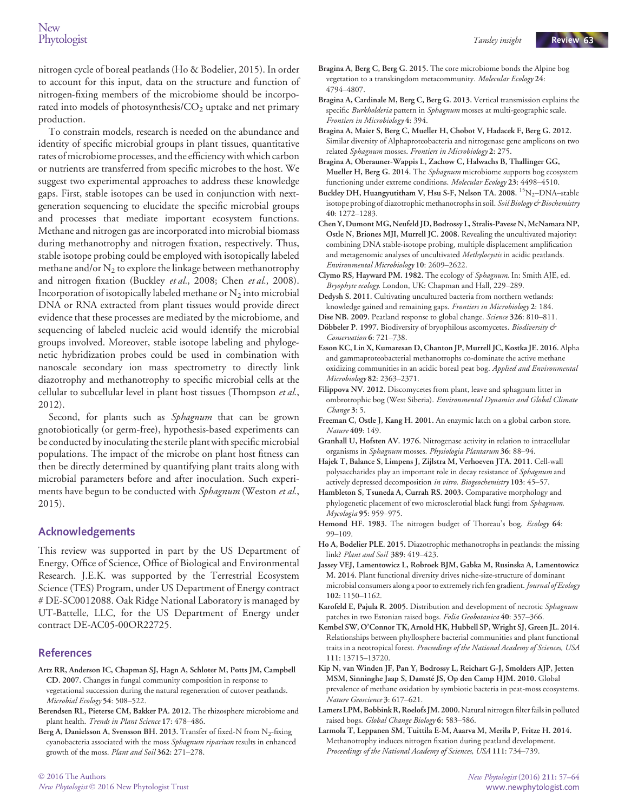nitrogen cycle of boreal peatlands (Ho & Bodelier, 2015). In order to account for this input, data on the structure and function of nitrogen-fixing members of the microbiome should be incorporated into models of photosynthesis/CO<sub>2</sub> uptake and net primary production.

To constrain models, research is needed on the abundance and identity of specific microbial groups in plant tissues, quantitative rates of microbiome processes, and the efficiency with which carbon or nutrients are transferred from specific microbes to the host. We suggest two experimental approaches to address these knowledge gaps. First, stable isotopes can be used in conjunction with nextgeneration sequencing to elucidate the specific microbial groups and processes that mediate important ecosystem functions. Methane and nitrogen gas are incorporated into microbial biomass during methanotrophy and nitrogen fixation, respectively. Thus, stable isotope probing could be employed with isotopically labeled methane and/or  $N_2$  to explore the linkage between methanotrophy and nitrogen fixation (Buckley et al., 2008; Chen et al., 2008). Incorporation of isotopically labeled methane or  $N_2$  into microbial DNA or RNA extracted from plant tissues would provide direct evidence that these processes are mediated by the microbiome, and sequencing of labeled nucleic acid would identify the microbial groups involved. Moreover, stable isotope labeling and phylogenetic hybridization probes could be used in combination with nanoscale secondary ion mass spectrometry to directly link diazotrophy and methanotrophy to specific microbial cells at the cellular to subcellular level in plant host tissues (Thompson et al., 2012).

Second, for plants such as Sphagnum that can be grown gnotobiotically (or germ-free), hypothesis-based experiments can be conducted by inoculating the sterile plant with specific microbial populations. The impact of the microbe on plant host fitness can then be directly determined by quantifying plant traits along with microbial parameters before and after inoculation. Such experiments have begun to be conducted with Sphagnum (Weston et al., 2015).

#### Acknowledgements

This review was supported in part by the US Department of Energy, Office of Science, Office of Biological and Environmental Research. J.E.K. was supported by the Terrestrial Ecosystem Science (TES) Program, under US Department of Energy contract # DE-SC0012088. Oak Ridge National Laboratory is managed by UT-Battelle, LLC, for the US Department of Energy under contract DE-AC05-00OR22725.

#### References

- Artz RR, Anderson IC, Chapman SJ, Hagn A, Schloter M, Potts JM, Campbell CD. 2007. Changes in fungal community composition in response to vegetational succession during the natural regeneration of cutover peatlands. Microbial Ecology 54: 508–522.
- Berendsen RL, Pieterse CM, Bakker PA. 2012. The rhizosphere microbiome and plant health. Trends in Plant Science 17: 478–486.
- Berg A, Danielsson A, Svensson BH. 2013. Transfer of fixed-N from  $N_2$ -fixing cyanobacteria associated with the moss Sphagnum riparium results in enhanced growth of the moss. Plant and Soil 362: 271–278.
- Bragina A, Berg C, Berg G. 2015. The core microbiome bonds the Alpine bog vegetation to a transkingdom metacommunity. Molecular Ecology 24: 4794–4807.
- Bragina A, Cardinale M, Berg C, Berg G. 2013. Vertical transmission explains the specific Burkholderia pattern in Sphagnum mosses at multi-geographic scale. Frontiers in Microbiology 4: 394.
- Bragina A, Maier S, Berg C, Mueller H, Chobot V, Hadacek F, Berg G. 2012. Similar diversity of Alphaproteobacteria and nitrogenase gene amplicons on two related Sphagnum mosses. Frontiers in Microbiology 2: 275.
- Bragina A, Oberauner-Wappis L, Zachow C, Halwachs B, Thallinger GG, Mueller H, Berg G. 2014. The Sphagnum microbiome supports bog ecosystem functioning under extreme conditions. Molecular Ecology 23: 4498–4510.
- Buckley DH, Huangyutitham V, Hsu S-F, Nelson TA. 2008. <sup>15</sup>N<sub>2</sub>-DNA-stable isotope probing of diazotrophic methanotrophs in soil. Soil Biology & Biochemistry 40: 1272–1283.
- Chen Y, Dumont MG, Neufeld JD, Bodrossy L, Stralis-Pavese N, McNamara NP, Ostle N, Briones MJI, Murrell JC. 2008. Revealing the uncultivated majority: combining DNA stable-isotope probing, multiple displacement amplification and metagenomic analyses of uncultivated Methylocystis in acidic peatlands. Environmental Microbiology 10: 2609–2622.
- Clymo RS, Hayward PM. 1982. The ecology of Sphagnum. In: Smith AJE, ed. Bryophyte ecology. London, UK: Chapman and Hall, 229-289.
- Dedysh S. 2011. Cultivating uncultured bacteria from northern wetlands: knowledge gained and remaining gaps. Frontiers in Microbiology 2: 184.
- Dise NB. 2009. Peatland response to global change. Science 326: 810-811. Döbbeler P. 1997. Biodiversity of bryophilous ascomycetes. Biodiversity &
- Conservation 6: 721–738.
- Esson KC, Lin X, Kumaresan D, Chanton JP, Murrell JC, Kostka JE. 2016. Alpha and gammaproteobacterial methanotrophs co-dominate the active methane oxidizing communities in an acidic boreal peat bog. Applied and Environmental Microbiology 82: 2363–2371.
- Filippova NV. 2012. Discomycetes from plant, leave and sphagnum litter in ombrotrophic bog (West Siberia). Environmental Dynamics and Global Climate Change 3: 5.
- Freeman C, Ostle J, Kang H. 2001. An enzymic latch on a global carbon store. Nature 409: 149.
- Granhall U, Hofsten AV. 1976. Nitrogenase activity in relation to intracellular organisms in Sphagnum mosses. Physiologia Plantarum 36: 88–94.
- Hajek T, Balance S, Limpens J, Zijlstra M, Verhoeven JTA. 2011. Cell-wall polysaccharides play an important role in decay resistance of Sphagnum and actively depressed decomposition in vitro. Biogeochemistry 103: 45-57.
- Hambleton S, Tsuneda A, Currah RS. 2003. Comparative morphology and phylogenetic placement of two microsclerotial black fungi from Sphagnum. Mycologia 95: 959–975.
- Hemond HF. 1983. The nitrogen budget of Thoreau's bog. Ecology 64: 99–109.
- Ho A, Bodelier PLE. 2015. Diazotrophic methanotrophs in peatlands: the missing link? Plant and Soil 389: 419–423.
- Jassey VEJ, Lamentowicz L, Robroek BJM, Gabka M, Rusinska A, Lamentowicz M. 2014. Plant functional diversity drives niche-size-structure of dominant microbial consumers along a poor to extremely rich fen gradient. Journal of Ecology 102: 1150–1162.
- Karofeld E, Pajula R. 2005. Distribution and development of necrotic Sphagnum patches in two Estonian raised bogs. Folia Geobotanica 40: 357-366.
- Kembel SW, O'Connor TK, Arnold HK, Hubbell SP, Wright SJ, Green JL. 2014. Relationships between phyllosphere bacterial communities and plant functional traits in a neotropical forest. Proceedings of the National Academy of Sciences, USA 111: 13715–13720.
- Kip N, van Winden JF, Pan Y, Bodrossy L, Reichart G-J, Smolders AJP, Jetten MSM, Sinninghe Jaap S, Damsté JS, Op den Camp HJM. 2010. Global prevalence of methane oxidation by symbiotic bacteria in peat-moss ecosystems. Nature Geoscience 3: 617–621.
- Lamers LPM, Bobbink R, Roelofs JM. 2000. Natural nitrogen filter fails in polluted raised bogs. Global Change Biology 6: 583–586.
- Larmola T, Leppanen SM, Tuittila E-M, Aaarva M, Merila P, Fritze H. 2014. Methanotrophy induces nitrogen fixation during peatland development. Proceedings of the National Academy of Sciences, USA 111: 734–739.